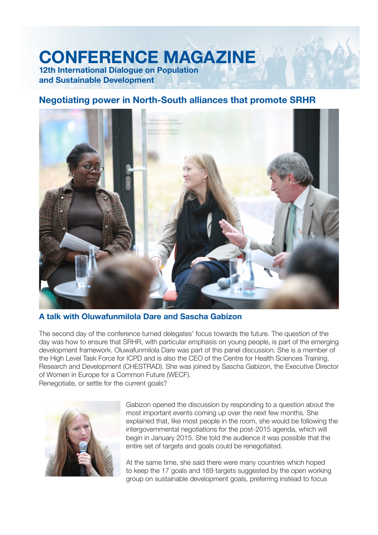## **CONFERENCE MAGAZINE 12th International Dialogue on Population**

**and Sustainable Development**

## **Negotiating power in North-South alliances that promote SRHR**



**A talk with Oluwafunmilola Dare and Sascha Gabizon**

The second day of the conference turned delegates' focus towards the future. The question of the day was how to ensure that SRHR, with particular emphasis on young people, is part of the emerging development framework. Oluwafunmilola Dare was part of this panel discussion. She is a member of the High Level Task Force for ICPD and is also the CEO of the Centre for Health Sciences Training, Research and Development (CHESTRAD). She was joined by Sascha Gabizon, the Executive Director of Women in Europe for a Common Future (WECF). Renegotiate, or settle for the current goals?



Gabizon opened the discussion by responding to a question about the most important events coming up over the next few months. She explained that, like most people in the room, she would be following the intergovernmental negotiations for the post-2015 agenda, which will begin in January 2015. She told the audience it was possible that the entire set of targets and goals could be renegotiated.

At the same time, she said there were many countries which hoped to keep the 17 goals and 169 targets suggested by the open working group on sustainable development goals, preferring instead to focus